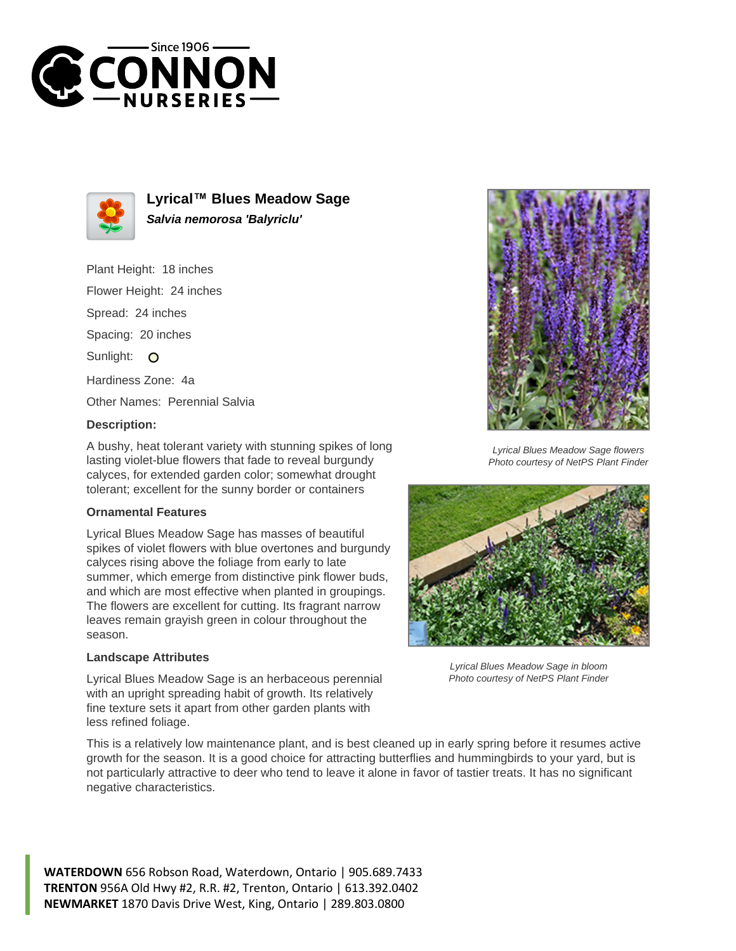



**Lyrical™ Blues Meadow Sage Salvia nemorosa 'Balyriclu'**

Plant Height: 18 inches Flower Height: 24 inches Spread: 24 inches

Spacing: 20 inches

Sunlight: O

Hardiness Zone: 4a

Other Names: Perennial Salvia

## **Description:**

A bushy, heat tolerant variety with stunning spikes of long lasting violet-blue flowers that fade to reveal burgundy calyces, for extended garden color; somewhat drought tolerant; excellent for the sunny border or containers

## **Ornamental Features**

Lyrical Blues Meadow Sage has masses of beautiful spikes of violet flowers with blue overtones and burgundy calyces rising above the foliage from early to late summer, which emerge from distinctive pink flower buds, and which are most effective when planted in groupings. The flowers are excellent for cutting. Its fragrant narrow leaves remain grayish green in colour throughout the season.

## **Landscape Attributes**

Lyrical Blues Meadow Sage is an herbaceous perennial with an upright spreading habit of growth. Its relatively fine texture sets it apart from other garden plants with less refined foliage.

This is a relatively low maintenance plant, and is best cleaned up in early spring before it resumes active growth for the season. It is a good choice for attracting butterflies and hummingbirds to your yard, but is not particularly attractive to deer who tend to leave it alone in favor of tastier treats. It has no significant negative characteristics.

**WATERDOWN** 656 Robson Road, Waterdown, Ontario | 905.689.7433 **TRENTON** 956A Old Hwy #2, R.R. #2, Trenton, Ontario | 613.392.0402 **NEWMARKET** 1870 Davis Drive West, King, Ontario | 289.803.0800



Lyrical Blues Meadow Sage flowers Photo courtesy of NetPS Plant Finder



Lyrical Blues Meadow Sage in bloom Photo courtesy of NetPS Plant Finder